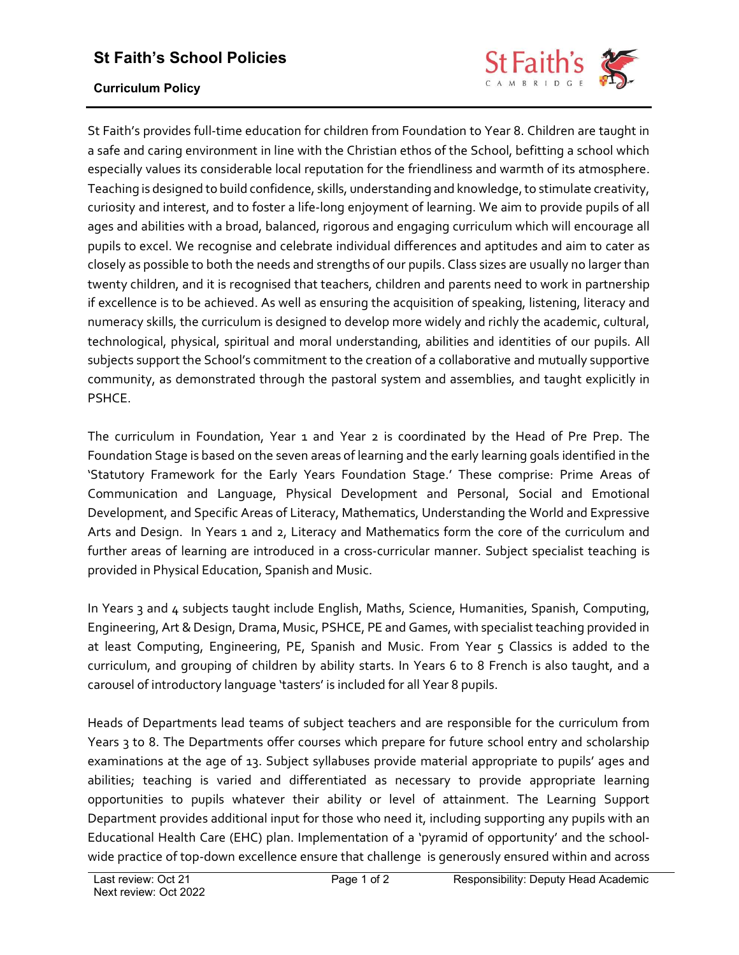## St Faith's School Policies



## Curriculum Policy

St Faith's provides full-time education for children from Foundation to Year 8. Children are taught in a safe and caring environment in line with the Christian ethos of the School, befitting a school which especially values its considerable local reputation for the friendliness and warmth of its atmosphere. Teaching is designed to build confidence, skills, understanding and knowledge, to stimulate creativity, curiosity and interest, and to foster a life-long enjoyment of learning. We aim to provide pupils of all ages and abilities with a broad, balanced, rigorous and engaging curriculum which will encourage all pupils to excel. We recognise and celebrate individual differences and aptitudes and aim to cater as closely as possible to both the needs and strengths of our pupils. Class sizes are usually no larger than twenty children, and it is recognised that teachers, children and parents need to work in partnership if excellence is to be achieved. As well as ensuring the acquisition of speaking, listening, literacy and numeracy skills, the curriculum is designed to develop more widely and richly the academic, cultural, technological, physical, spiritual and moral understanding, abilities and identities of our pupils. All subjects support the School's commitment to the creation of a collaborative and mutually supportive community, as demonstrated through the pastoral system and assemblies, and taught explicitly in PSHCE.

The curriculum in Foundation, Year 1 and Year 2 is coordinated by the Head of Pre Prep. The Foundation Stage is based on the seven areas of learning and the early learning goals identified in the 'Statutory Framework for the Early Years Foundation Stage.' These comprise: Prime Areas of Communication and Language, Physical Development and Personal, Social and Emotional Development, and Specific Areas of Literacy, Mathematics, Understanding the World and Expressive Arts and Design. In Years 1 and 2, Literacy and Mathematics form the core of the curriculum and further areas of learning are introduced in a cross-curricular manner. Subject specialist teaching is provided in Physical Education, Spanish and Music.

In Years 3 and 4 subjects taught include English, Maths, Science, Humanities, Spanish, Computing, Engineering, Art & Design, Drama, Music, PSHCE, PE and Games, with specialist teaching provided in at least Computing, Engineering, PE, Spanish and Music. From Year 5 Classics is added to the curriculum, and grouping of children by ability starts. In Years 6 to 8 French is also taught, and a carousel of introductory language 'tasters' is included for all Year 8 pupils.

Heads of Departments lead teams of subject teachers and are responsible for the curriculum from Years 3 to 8. The Departments offer courses which prepare for future school entry and scholarship examinations at the age of 13. Subject syllabuses provide material appropriate to pupils' ages and abilities; teaching is varied and differentiated as necessary to provide appropriate learning opportunities to pupils whatever their ability or level of attainment. The Learning Support Department provides additional input for those who need it, including supporting any pupils with an Educational Health Care (EHC) plan. Implementation of a 'pyramid of opportunity' and the schoolwide practice of top-down excellence ensure that challenge is generously ensured within and across